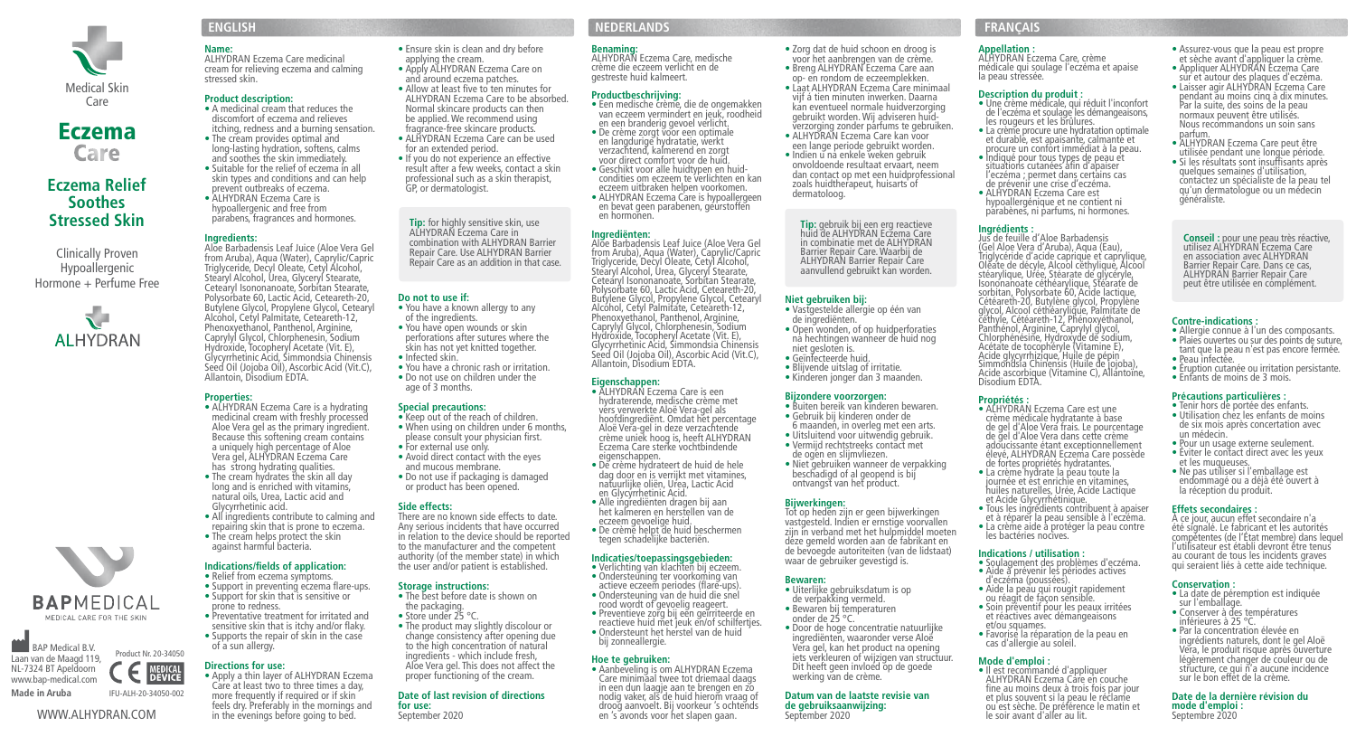

# **Eczema**<br>Care

# **Eczema Relief Soothes Stressed Skin**

Clinically Proven Hypoallergenic Hormone + Perfume Free



# **Name:**

ALHYDRAN Eczema Care medicinal cream for relieving eczema and calming stressed skin.

# **Product description:**

- A medicinal cream that reduces the discomfort of eczema and relieves itching, redness and a burning sensation.
- The cream provides optimal and long-lasting hydration, softens, calms and soothes the skin immediately. • Suitable for the relief of eczema in all
- skin types and conditions and can help prevent outbreaks of eczema.<br>• ALHYDRAN Eczema Care is hypoallergenic and free from parabens, fragrances and hormones.

Phenoxyethanol, Panthenol, Arginine, Caprylyl Glycol, Chlorphenesin, Sodium Hydroxide, Tocopheryl Acetate (Vit. E), Glycyrrhetinic Acid, Simmondsia Chinensis Seed Oil (Jojoba Oil), Ascorbic Acid (Vit.C),

Aloe Vera gel as the primary ingredient. Because this softening cream contains a uniquely high percentage of Aloe Vera gel, ALHYDRAN Eczema Care has strong hydrating qualities. • The cream hydrates the skin all day long and is enriched with vitamins,

Allantoin, Disodium EDTA.

**Properties:** 

# **Ingredients:**

Aloe Barbadensis Leaf Juice (Aloe Vera Gel from Aruba), Aqua (Water), Caprylic/Capric Triglyceride, Decyl Oleate, Cetyl Alcohol, Stearyl Alcohol, Urea, Glyceryl Stearate, Cetearyl Isononanoate, Sorbitan Stearate, Polysorbate 60, Lactic Acid, Ceteareth-20, Butylene Glycol, Propylene Glycol, Cetearyl Alcohol, Cetyl Palmitate, Ceteareth-12,

- You have a known allergy to any
	-
- Infected skin.
- age of 3 months.

# • ALHYDRAN Eczema Care is a hydrating medicinal cream with freshly processed

- Keep out of the reach of children. • When using on children under 6 months.
- For external use only. • Avoid direct contact with the eyes
- and mucous membrane. or product has been opened.

# **Side effects:**

- natural oils, Urea, Lactic acid and Glycyrrhetinic acid. • All ingredients contribute to calming and repairing skin that is prone to eczema.
- The cream helps protect the skin against harmful bacteria.

### **Indications/fields of application:**  • Relief from eczema symptoms.

- Support in preventing eczema flare-ups. • Support for skin that is sensitive or
- **BAPMEDICAL** prone to redness. MEDICAL CARE FOR THE SKIN
- **BAP Medical B.V.** Product Nr. 20-34050 Laan van de Maagd 119, **MEDICAL**<br>**DEVICE** NL-7324 BT Apeldoorn www.bap-medical.com **Made in Aruba** IFU-ALH-20-34050-002

# WWW.ALHYDRAN.COM

### • Apply ALHYDRAN Eczema Care on and around eczema patches.

• Allow at least five to ten minutes for

applying the cream.

• Ensure skin is clean and dry before

- ALHYDRAN Eczema Care to be absorbed. Normal skincare products can then be applied. We recommend using fragrance-free skincare products.
- ALHYDRAN Eczema Care can be used for an extended period.
- If you do not experience an effective result after a few weeks, contact a skin professional such as a skin therapist, GP, or dermatologist.

**Tip:** for highly sensitive skin, use ALHYDRAN Eczema Care in

### combination with ALHYDRAN Barrier Repair Care. Use ALHYDRAN Barrier Repair Care as an addition in that case.

# **Do not to use if:**

- of the ingredients.<br>• You have open wounds or skin
- perforations after sutures where the skin has not yet knitted together.
- You have a chronic rash or irritation. • Do not use on children under the
- 

# **Special precautions:**

- 
- please consult your physician first.
- Do not use if packaging is damaged

- There are no known side effects to date. Any serious incidents that have occurred
	- in relation to the device should be reported to the manufacturer and the competent authority (of the member state) in which the user and/or patient is established.

• The best before date is shown on the packaging.

• The product may slightly discolour or change consistency after opening due to the high concentration of natural ingredients - which include fresh, Aloe Vera gel. This does not affect the proper functioning of the cream. **Date of last revision of directions**

• Store under 25 °C.

**for use:**  September 2020

# **Storage instructions:**

- 
- Preventative treatment for irritated and sensitive skin that is itchy and/or flaky. • Supports the repair of skin in the case

# of a sun allergy. **Directions for use:**

• Apply a thin layer of ALHYDRAN Eczema Care at least two to three times a day, more frequently if required or if skin feels dry. Preferably in the mornings and in the evenings before going to bed.

# **ENGLISH NEDERLANDS FRANÇAIS**

# **Benaming:**

ALHYDRAN Eczema Care, medische crème die eczeem verlicht en de gestreste huid kalmeert.

# **Productbeschrijving:**

• Een medische crème, die de ongemakken van eczeem vermindert en jeuk, roodheid en een branderig gevoel verlicht. • De crème zorgt voor een optimale en langdurige hydratatie, werkt verzachtend, kalmerend en zorgt

- voor direct comfort voor de huid. • Geschikt voor alle huidtypen en huidcondities om eczeem te verlichten en kan eczeem uitbraken helpen voorkomen.
- ALHYDRAN Eczema Care is hypoallergeen en bevat geen parabenen, geurstoffen en hormonen.

# **Ingrediënten:**

Aloe Barbadensis Leaf Juice (Aloe Vera Gel from Aruba), Aqua (Water), Caprylic/Capric Triglyceride, Decyl Oleate, Cetyl Alcohol, Stearyl Alcohol, Urea, Glyceryl Stearate, Cetearyl Isononanoate, Sorbitan Stearate, Polysorbate 60, Lactic Acid, Ceteareth-20, Butylene Glycol, Propylene Glycol, Cetearyl Alcohol, Cetyl Palmitate, Ceteareth-12, Phenoxyethanol, Panthenol, Arginine, Caprylyl Glycol, Chlorphenesin, Sodium Hydróxide, Tocopheryl Acetate (Vit. E),<br>Glycyrrhetinic Acid, Simmondsia Chinensis<br>Seed Oil (Jojoba Oil), Ascorbic Acid (Vit.C), Allantoin, Disodium EDTA.

- **Eigenschappen:**  hydraterende, medische crème met vérs verwerkte Aloë Vera-gel als hoofdingrediënt. Omdat het percentage Aloë Vera-gel in deze verzachtende crème uniek hoog is, heeft ALHYDRAN Eczema Care sterke vochtbindende eigenschappen. • De crème hydrateert de huid de hele
- dag door en is verrijkt met vitamines, natuurlijke oliën, Urea, Lactic Acid en Glycyrrhetinic Acid.
- Alle ingrediënten dragen bij aan het kalmeren en herstellen van de eczeem gevoelige huid. • De crème helpt de huid beschermen tegen schadelijke bacteriën.
- 
- **Indicaties/toepassingsgebieden:**  Verlichting van klachten bij eczeem.
- Ondersteuning ter voorkoming van actieve eczeem periodes (flare-ups).
- Ondersteuning van de huid die snel
- rood wordt of gevoelig reageert. • Preventieve zorg bij een geïrriteerde en
- reactieve huid met jeuk en/of schilfertjes. • Ondersteunt het herstel van de huid bij zonneallergie.

# **Hoe te gebruiken:**

• Aanbeveling is om ALHYDRAN Eczema Care minimaal twee tot driemaal daags in een dun laagje aan te brengen en zo nodig vaker, als de huid hierom vraag of droog aanvoelt. Bij voorkeur 's ochtends en 's avonds voor het slapen gaan.

**Appellation :**  ALHYDRAN Eczema Care, crème

médicale qui soulage l'eczéma et apaise

• Assurez-vous que la peau est propre et sèche avant d'appliquer la crème. • Appliquer ALHYDRAN Eczema Care sur et autour des plaques d'eczéma. • Laisser agir ALHYDRAN Eczema Care pendant au moins cinq à dix minutes. Par la suite, des soins de la peau normaux peuvent être utilisés. Nous recommandons un soin sans

• ALHYDRAN Eczema Care peut être utilisée pendant une longue période. • Si les résultats sont insuffisants après contactez un spécialiste de la peau tel qu'un dermatologue ou un médecin

parfum.

généraliste.

**Contre-indications :** 

• Peau infectée.

un médecin.

**Conservation :** 

sur l'emballage.

**mode d'emploi :**  Septembre 2020

• Allergie connue à l'un des composants. • Plaies ouvertes ou sur des points de suture. tant que la peau n'est pas encore fermée.

**Conseil :** pour une peau très réactive, utilisez ALHYDRAN Eczema Care en association avec ALHYDRAN Barrier Repair Care. Dans ce cas, ALHYDRAN Barrier Repair Care peut être utilisée en complément.

• Éruption cutanée ou irritation persistante. • Enfants de moins de 3 mois. **Précautions particulières :**  • Tenir hors de portée des enfants. • Utilisation chez les enfants de moins de six mois après concertation avec

• Pour un usage externe seulement. • Éviter le contact direct avec les yeux et les muqueuses.<br>• Ne pas utiliser si l'emballage est endommagé ou a déjà été ouvert à la réception du produit. **Effets secondaires :** 

À ce jour, aucun effet secondaire n'a été signalé. Le fabricant et les autorités compétentes (de l'État membre) dans lequel l'utilisateur est établi devront être tenus au courant de tous les incidents graves qui seraient liés à cette aide technique.

• La date de péremption est indiquée

• Conserver à des températures inférieures à 25 °C. • Par la concentration élevée en ingrédients naturels, dont le gel Aloë Vera, le produit risque après ouverture légèrement changer de couleur ou de structure, ce qui n'a aucune incidence sur le bon effet de la crème. **Date de la dernière révision du**

• Une crème médicale, qui réduit l'inconfort de l'eczéma et soulage les démangeaisons,

la peau stressée.

**Description du produit :** 

les rougeurs et les brûlures. • La crème procure une hydratation optimale et durable, est apaisante, calmante et procure un confort immédiat à la peau. • Indiqué pour tous types de peau et situations cutanées afin d'apaiser l'eczéma ; permet dans certains cas de prévenir une crise d'eczéma. • ALHYDRAN Eczema Care est hypoallergénique et ne contient ni parabènes, ni parfums, ni hormones.

**Ingrédients :**  Jus de feuille d'Aloe Barbadensis (Gel Aloe Vera d'Aruba), Aqua (Eau), Triglycéride d'acide caprique et caprylique, Oléate de décyle, Alcool céthylique, Alcool stéarylique, Urée, Stéarate de glycéryle, Isononanoate céthéarylique, Stéarate de sorbitan, Polysorbate 60, Acide lactique, Cétéareth-20, Butylène glycol, Propylène glycol, Alcool céthéarylique, Palmitate de céthyle, Cétéareth-12, Phénoxyéthanol, Panthénol, Arginine, Caprylyl glycol, Chlorphénésine, Hydroxyde de sodium,<br>Acétate de tocophéryle (Vitamine E),<br>Acíde glycyrrhizique, Huile de pépin<br>Simmondsia Chinensis (Huile de jojoba),

Acide ascorbique (Vitamine C), Allantoïne, Disodium EDTA.

• Tous les ingrédients contribuent à apaiser et à réparer la peau sensible à l'eczéma. • La crème aide à protéger la peau contre

• Soulagement des problèmes d'eczéma. • Aide à prévenir les périodes actives

• Aide la peau qui rougit rapidement ou réagit de façon sensible. • Soin préventif pour les peaux irritées et réactives avec démangeaisons

• Favorise la réparation de la peau en cas d'allergie au soleil. **Mode d'emploi :**  ALHYDRAN Eczema Care en couche fine au moins deux à trois fois par jour et plus souvent si la peau le réclame ou est sèche. De préférence le matin et

le soir avant d'aller au lit.

• ALHYDRAN Eczema Care est une crème médicale hydratante à base de gel d'Aloe Vera frais. Le pourcentage de gel d'Aloe Vera dans cette crème adoucissante étant exceptionnellement élevé, ALHYDRAN Eczema Care possède de fortes propriétés hydratantes. • La crème hydrate la peau toute la journée et ést enrichie en vitamines. huiles naturelles, Urée, Acide Lactique

et Acide Glycyrrhétinique.

les bactéries nocives. **Indications / utilisation :** 

d'eczéma (poussées).

et/ou squames.

**Propriétés :**

- Zorg dat de huid schoon en droog is voor het aanbrengen van de crème. • Breng ALHYDRAN Eczema Care aan
- op- en rondom de eczeemplekken. • Laat ALHYDRAN Eczema Care minimaal
- vijf á tien minuten inwerken. Daarna kan eventueel normale huidverzorging gebruikt worden. Wij adviseren huidverzorging zonder parfums te gebruiken.
- ALHYDRAN Eczema Care kan voor een lange periode gebruikt worden.
- Indien u na enkele weken gebruik onvoldoende resultaat ervaart, neem dan contact op met een huidprofessional zoals huidtherapeut, huisarts of dermatoloog.

**Tip:** gebruik bij een erg reactieve<br>huid de ALHYDRAN Eczema Care<br>in combinatie met de ALHYDRAN Barrier Repair Care. Waarbij de ALHYDRAN Barrier Repair Care aanvullend gebruikt kan worden.

# **Niet gebruiken bij:**

- Vastgestelde allergie op één van de ingrediënten.
- Open wonden, of op huidperforaties na hechtingen wanneer de huid nog niet gesloten is.
- Geïnfecteerde huid.
- Blijvende uitslag of irritatie.
- Kinderen jonger dan 3 maanden.

### **Bijzondere voorzorgen:**

- Buiten bereik van kinderen bewaren.
- Gebruik bij kinderen onder de 6 maanden, in overleg met een arts.
- Uitsluitend voor uitwendig gebruik. • Vermijd rechtstreeks contact met
- de ogen en slijmvliezen. • Niet gebruiken wanneer de verpakking
	- beschadigd of al geopend is bij ontvangst van het product.

### **Bijwerkingen:**

Tot op heden zijn er geen bijwerkingen vastgesteld. Indien er ernstige voorvallen zijn in verband met het hulpmiddel moeten deze gemeld worden aan de fabrikant en de bevoegde autoriteiten (van de lidstaat) waar de gebruiker gevestigd is.

### **Bewaren:**

- Uiterlijke gebruiksdatum is op de verpakking vermeld.
- Bewaren bij temperaturen onder de 25 °C.
- Door de hoge concentratie natuurlijke ingrediënten, waaronder verse Aloë Vera gel, kan het product na opening iets verkleuren of wijzigen van structuur. Dit heeft geen invloed op de goede werking van de crème.

**Datum van de laatste revisie van de gebruiksaanwijzing:**  September 2020